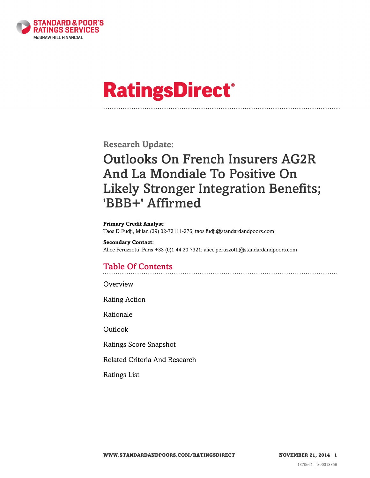

# **RatingsDirect®**

**Research Update:**

# Outlooks On French Insurers AG2R And La Mondiale To Positive On Likely Stronger Integration Benefits; 'BBB+' Affirmed

#### **Primary Credit Analyst:**

Taos D Fudji, Milan (39) 02-72111-276; taos.fudji@standardandpoors.com

#### **Secondary Contact:** Alice Peruzzotti, Paris +33 (0)1 44 20 7321; alice.peruzzotti@standardandpoors.com

# Table Of Contents

**[Overview](#page-1-0)** 

[Rating Action](#page-1-1)

[Rationale](#page-1-2)

[Outlook](#page-3-0)

[Ratings Score Snapshot](#page-3-1)

[Related Criteria And Research](#page-4-0)

[Ratings List](#page-4-1)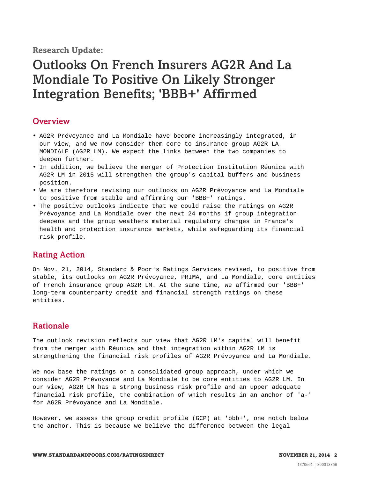**Research Update:**

# Outlooks On French Insurers AG2R And La Mondiale To Positive On Likely Stronger Integration Benefits; 'BBB+' Affirmed

### <span id="page-1-0"></span>**Overview**

- AG2R Prévoyance and La Mondiale have become increasingly integrated, in our view, and we now consider them core to insurance group AG2R LA MONDIALE (AG2R LM). We expect the links between the two companies to deepen further.
- In addition, we believe the merger of Protection Institution Réunica with AG2R LM in 2015 will strengthen the group's capital buffers and business position.
- We are therefore revising our outlooks on AG2R Prévoyance and La Mondiale to positive from stable and affirming our 'BBB+' ratings.
- The positive outlooks indicate that we could raise the ratings on AG2R Prévoyance and La Mondiale over the next 24 months if group integration deepens and the group weathers material regulatory changes in France's health and protection insurance markets, while safeguarding its financial risk profile.

## <span id="page-1-1"></span>Rating Action

On Nov. 21, 2014, Standard & Poor's Ratings Services revised, to positive from stable, its outlooks on AG2R Prévoyance, PRIMA, and La Mondiale, core entities of French insurance group AG2R LM. At the same time, we affirmed our 'BBB+' long-term counterparty credit and financial strength ratings on these entities.

## <span id="page-1-2"></span>Rationale

The outlook revision reflects our view that AG2R LM's capital will benefit from the merger with Réunica and that integration within AG2R LM is strengthening the financial risk profiles of AG2R Prévoyance and La Mondiale.

We now base the ratings on a consolidated group approach, under which we consider AG2R Prévoyance and La Mondiale to be core entities to AG2R LM. In our view, AG2R LM has a strong business risk profile and an upper adequate financial risk profile, the combination of which results in an anchor of 'a-' for AG2R Prévoyance and La Mondiale.

However, we assess the group credit profile (GCP) at 'bbb+', one notch below the anchor. This is because we believe the difference between the legal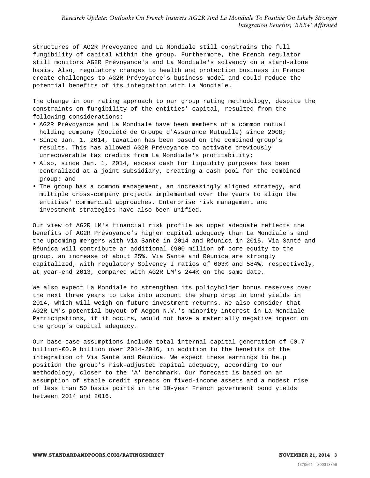structures of AG2R Prévoyance and La Mondiale still constrains the full fungibility of capital within the group. Furthermore, the French regulator still monitors AG2R Prévoyance's and La Mondiale's solvency on a stand-alone basis. Also, regulatory changes to health and protection business in France create challenges to AG2R Prévoyance's business model and could reduce the potential benefits of its integration with La Mondiale.

The change in our rating approach to our group rating methodology, despite the constraints on fungibility of the entities' capital, resulted from the following considerations:

- AG2R Prévoyance and La Mondiale have been members of a common mutual holding company (Société de Groupe d'Assurance Mutuelle) since 2008;
- Since Jan. 1, 2014, taxation has been based on the combined group's results. This has allowed AG2R Prévoyance to activate previously unrecoverable tax credits from La Mondiale's profitability;
- Also, since Jan. 1, 2014, excess cash for liquidity purposes has been centralized at a joint subsidiary, creating a cash pool for the combined group; and
- The group has a common management, an increasingly aligned strategy, and multiple cross-company projects implemented over the years to align the entities' commercial approaches. Enterprise risk management and investment strategies have also been unified.

Our view of AG2R LM's financial risk profile as upper adequate reflects the benefits of AG2R Prévoyance's higher capital adequacy than La Mondiale's and the upcoming mergers with Via Santé in 2014 and Réunica in 2015. Via Santé and Réunica will contribute an additional €900 million of core equity to the group, an increase of about 25%. Via Santé and Réunica are strongly capitalized, with regulatory Solvency I ratios of 603% and 584%, respectively, at year-end 2013, compared with AG2R LM's 244% on the same date.

We also expect La Mondiale to strengthen its policyholder bonus reserves over the next three years to take into account the sharp drop in bond yields in 2014, which will weigh on future investment returns. We also consider that AG2R LM's potential buyout of Aegon N.V.'s minority interest in La Mondiale Participations, if it occurs, would not have a materially negative impact on the group's capital adequacy.

Our base-case assumptions include total internal capital generation of  $\epsilon$ 0.7 billion-€0.9 billion over 2014-2016, in addition to the benefits of the integration of Via Santé and Réunica. We expect these earnings to help position the group's risk-adjusted capital adequacy, according to our methodology, closer to the 'A' benchmark. Our forecast is based on an assumption of stable credit spreads on fixed-income assets and a modest rise of less than 50 basis points in the 10-year French government bond yields between 2014 and 2016.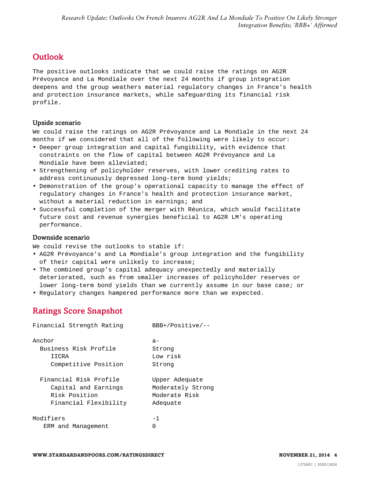## <span id="page-3-0"></span>**Outlook**

The positive outlooks indicate that we could raise the ratings on AG2R Prévoyance and La Mondiale over the next 24 months if group integration deepens and the group weathers material regulatory changes in France's health and protection insurance markets, while safeguarding its financial risk profile.

#### Upside scenario

We could raise the ratings on AG2R Prévoyance and La Mondiale in the next 24 months if we considered that all of the following were likely to occur:

- Deeper group integration and capital fungibility, with evidence that constraints on the flow of capital between AG2R Prévoyance and La Mondiale have been alleviated;
- Strengthening of policyholder reserves, with lower crediting rates to address continuously depressed long-term bond yields;
- Demonstration of the group's operational capacity to manage the effect of regulatory changes in France's health and protection insurance market, without a material reduction in earnings; and
- Successful completion of the merger with Réunica, which would facilitate future cost and revenue synergies beneficial to AG2R LM's operating performance.

#### Downside scenario

We could revise the outlooks to stable if:

- AG2R Prévoyance's and La Mondiale's group integration and the fungibility of their capital were unlikely to increase;
- The combined group's capital adequacy unexpectedly and materially deteriorated, such as from smaller increases of policyholder reserves or lower long-term bond yields than we currently assume in our base case; or
- <span id="page-3-1"></span>• Regulatory changes hampered performance more than we expected.

# Ratings Score Snapshot

| Financial Strength Rating | $BBB+/Positive/--$ |
|---------------------------|--------------------|
| Anchor                    | $a -$              |
| Business Risk Profile     | Strong             |
| IICRA                     | Low risk           |
| Competitive Position      | Strong             |
| Financial Risk Profile    | Upper Adequate     |
| Capital and Earnings      | Moderately Strong  |
| Risk Position             | Moderate Risk      |
| Financial Flexibility     | Adequate           |
| Modifiers                 | $-1$               |
| ERM and Management        | O                  |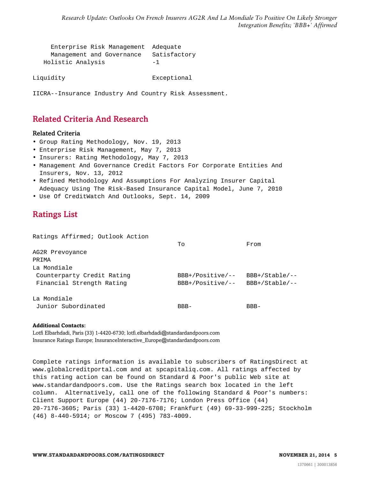|                   | Enterprise Risk Management Adequate |              |
|-------------------|-------------------------------------|--------------|
|                   | Management and Governance           | Satisfactory |
| Holistic Analysis |                                     | $-1$         |

Liquidity Exceptional

IICRA--Insurance Industry And Country Risk Assessment.

# <span id="page-4-0"></span>Related Criteria And Research

#### Related Criteria

- Group Rating Methodology, Nov. 19, 2013
- Enterprise Risk Management, May 7, 2013
- Insurers: Rating Methodology, May 7, 2013
- Management And Governance Credit Factors For Corporate Entities And Insurers, Nov. 13, 2012
- Refined Methodology And Assumptions For Analyzing Insurer Capital Adequacy Using The Risk-Based Insurance Capital Model, June 7, 2010
- <span id="page-4-1"></span>• Use Of CreditWatch And Outlooks, Sept. 14, 2009

# Ratings List

| Ratings Affirmed; Outlook Action |                                          |                |
|----------------------------------|------------------------------------------|----------------|
|                                  | To                                       | From           |
| AG2R Prevoyance                  |                                          |                |
| PRIMA                            |                                          |                |
| La Mondiale                      |                                          |                |
| Counterparty Credit Rating       | BBB+/Positive/--                         | BBB+/Stable/-- |
| Financial Strength Rating        | $BBB+ / Positive / - BBB+ / Stable / --$ |                |
| La Mondiale                      |                                          |                |
| Junior Subordinated              | $BBB-$                                   | $BBB-$         |

#### **Additional Contacts:**

Lotfi Elbarhdadi, Paris (33) 1-4420-6730; lotfi.elbarhdadi@standardandpoors.com Insurance Ratings Europe; InsuranceInteractive\_Europe@standardandpoors.com

Complete ratings information is available to subscribers of RatingsDirect at www.globalcreditportal.com and at spcapitaliq.com. All ratings affected by this rating action can be found on Standard & Poor's public Web site at www.standardandpoors.com. Use the Ratings search box located in the left column. Alternatively, call one of the following Standard & Poor's numbers: Client Support Europe (44) 20-7176-7176; London Press Office (44) 20-7176-3605; Paris (33) 1-4420-6708; Frankfurt (49) 69-33-999-225; Stockholm (46) 8-440-5914; or Moscow 7 (495) 783-4009.